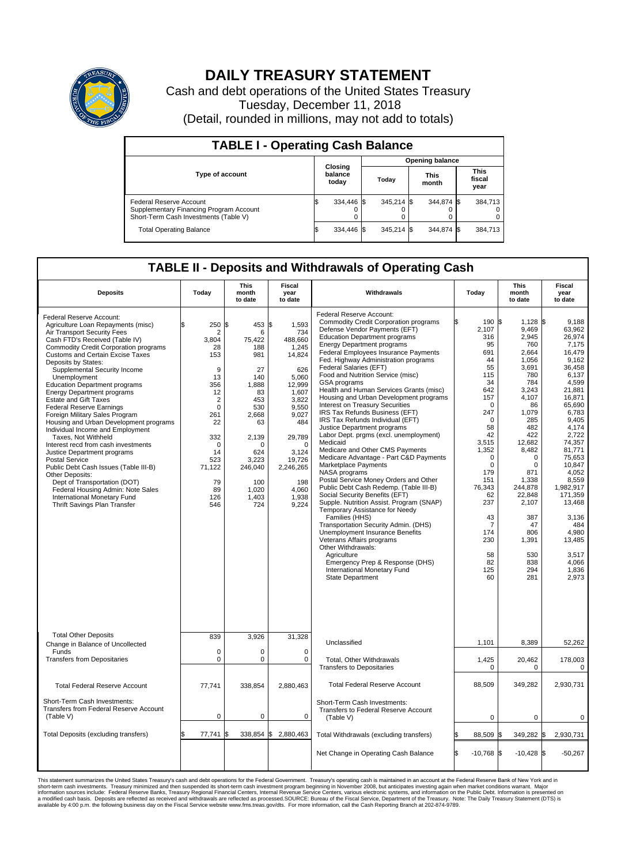

## **DAILY TREASURY STATEMENT**

Cash and debt operations of the United States Treasury Tuesday, December 11, 2018 (Detail, rounded in millions, may not add to totals)

| <b>TABLE I - Operating Cash Balance</b>                                                                     |                             |            |  |                               |  |                               |  |         |  |
|-------------------------------------------------------------------------------------------------------------|-----------------------------|------------|--|-------------------------------|--|-------------------------------|--|---------|--|
|                                                                                                             |                             |            |  | <b>Opening balance</b>        |  |                               |  |         |  |
| <b>Type of account</b>                                                                                      | Closing<br>balance<br>today |            |  | <b>This</b><br>Todav<br>month |  | <b>This</b><br>fiscal<br>year |  |         |  |
| Federal Reserve Account<br>Supplementary Financing Program Account<br>Short-Term Cash Investments (Table V) |                             | 334.446 \$ |  | $345.214$ \$                  |  | 344.874 \$                    |  | 384.713 |  |
| <b>Total Operating Balance</b>                                                                              |                             | 334.446 \$ |  | 345.214 \$                    |  | 344.874 \$                    |  | 384,713 |  |

## **TABLE II - Deposits and Withdrawals of Operating Cash**

| <b>Deposits</b>                                                                                                                                                                                                                                                                                                                                                                                                                                                                                                                                                                                                                                                                                                                                                                                                                                                                  | Today                                                                                                                                                                   | This<br>month<br>to date                                                                                                                                                  | <b>Fiscal</b><br>year<br>to date                                                                                                                                                                               | Withdrawals                                                                                                                                                                                                                                                                                                                                                                                                                                                                                                                                                                                                                                                                                                                                                                                                                                                                                                                                                                                                                                                                                                                                                                                                            | Today                                                                                                                                                                                                                                                           | <b>This</b><br>month<br>to date                                                                                                                                                                                                                                                 | <b>Fiscal</b><br>year<br>to date                                                                                                                                                                                                                                                                                       |
|----------------------------------------------------------------------------------------------------------------------------------------------------------------------------------------------------------------------------------------------------------------------------------------------------------------------------------------------------------------------------------------------------------------------------------------------------------------------------------------------------------------------------------------------------------------------------------------------------------------------------------------------------------------------------------------------------------------------------------------------------------------------------------------------------------------------------------------------------------------------------------|-------------------------------------------------------------------------------------------------------------------------------------------------------------------------|---------------------------------------------------------------------------------------------------------------------------------------------------------------------------|----------------------------------------------------------------------------------------------------------------------------------------------------------------------------------------------------------------|------------------------------------------------------------------------------------------------------------------------------------------------------------------------------------------------------------------------------------------------------------------------------------------------------------------------------------------------------------------------------------------------------------------------------------------------------------------------------------------------------------------------------------------------------------------------------------------------------------------------------------------------------------------------------------------------------------------------------------------------------------------------------------------------------------------------------------------------------------------------------------------------------------------------------------------------------------------------------------------------------------------------------------------------------------------------------------------------------------------------------------------------------------------------------------------------------------------------|-----------------------------------------------------------------------------------------------------------------------------------------------------------------------------------------------------------------------------------------------------------------|---------------------------------------------------------------------------------------------------------------------------------------------------------------------------------------------------------------------------------------------------------------------------------|------------------------------------------------------------------------------------------------------------------------------------------------------------------------------------------------------------------------------------------------------------------------------------------------------------------------|
| Federal Reserve Account:<br>Agriculture Loan Repayments (misc)<br>Air Transport Security Fees<br>Cash FTD's Received (Table IV)<br>Commodity Credit Corporation programs<br><b>Customs and Certain Excise Taxes</b><br>Deposits by States:<br>Supplemental Security Income<br>Unemployment<br><b>Education Department programs</b><br><b>Energy Department programs</b><br><b>Estate and Gift Taxes</b><br><b>Federal Reserve Earnings</b><br>Foreign Military Sales Program<br>Housing and Urban Development programs<br>Individual Income and Employment<br>Taxes. Not Withheld<br>Interest recd from cash investments<br>Justice Department programs<br><b>Postal Service</b><br>Public Debt Cash Issues (Table III-B)<br>Other Deposits:<br>Dept of Transportation (DOT)<br>Federal Housing Admin: Note Sales<br>International Monetary Fund<br>Thrift Savings Plan Transfer | 250<br>\$<br>2<br>3,804<br>28<br>153<br>9<br>13<br>356<br>12<br>$\overline{2}$<br>$\mathbf 0$<br>261<br>22<br>332<br>0<br>14<br>523<br>71,122<br>79<br>89<br>126<br>546 | l\$<br>453<br>6<br>75,422<br>188<br>981<br>27<br>140<br>1.888<br>83<br>453<br>530<br>2,668<br>63<br>2,139<br>U<br>624<br>3,223<br>246,040<br>100<br>1,020<br>1,403<br>724 | l\$<br>1,593<br>734<br>488,660<br>1,245<br>14,824<br>626<br>5,060<br>12.999<br>1,607<br>3,822<br>9,550<br>9,027<br>484<br>29.789<br>$\Omega$<br>3.124<br>19,726<br>2,246,265<br>198<br>4,060<br>1,938<br>9,224 | Federal Reserve Account:<br><b>Commodity Credit Corporation programs</b><br>Defense Vendor Payments (EFT)<br><b>Education Department programs</b><br><b>Energy Department programs</b><br>Federal Employees Insurance Payments<br>Fed. Highway Administration programs<br>Federal Salaries (EFT)<br>Food and Nutrition Service (misc)<br>GSA programs<br>Health and Human Services Grants (misc)<br>Housing and Urban Development programs<br>Interest on Treasury Securities<br>IRS Tax Refunds Business (EFT)<br>IRS Tax Refunds Individual (EFT)<br>Justice Department programs<br>Labor Dept. prgms (excl. unemployment)<br>Medicaid<br>Medicare and Other CMS Payments<br>Medicare Advantage - Part C&D Payments<br>Marketplace Payments<br>NASA programs<br>Postal Service Money Orders and Other<br>Public Debt Cash Redemp. (Table III-B)<br>Social Security Benefits (EFT)<br>Supple. Nutrition Assist. Program (SNAP)<br>Temporary Assistance for Needy<br>Families (HHS)<br>Transportation Security Admin. (DHS)<br>Unemployment Insurance Benefits<br>Veterans Affairs programs<br>Other Withdrawals:<br>Agriculture<br>Emergency Prep & Response (DHS)<br>International Monetary Fund<br>State Department | 190 \$<br>2,107<br>316<br>95<br>691<br>44<br>55<br>115<br>34<br>642<br>157<br>$\mathbf 0$<br>247<br>$\Omega$<br>58<br>42<br>3,515<br>1,352<br>$\mathbf 0$<br>$\mathbf 0$<br>179<br>151<br>76,343<br>62<br>237<br>43<br>7<br>174<br>230<br>58<br>82<br>125<br>60 | $1.128$ S<br>9,469<br>2,945<br>760<br>2.664<br>1,056<br>3,691<br>780<br>784<br>3,243<br>4,107<br>86<br>1,079<br>285<br>482<br>422<br>12,682<br>8,482<br>0<br>$\mathbf 0$<br>871<br>1,338<br>244,878<br>22,848<br>2,107<br>387<br>47<br>806<br>1,391<br>530<br>838<br>294<br>281 | 9.188<br>63,962<br>26.974<br>7,175<br>16,479<br>9,162<br>36,458<br>6,137<br>4,599<br>21.881<br>16,871<br>65,690<br>6,783<br>9.405<br>4,174<br>2,722<br>74.357<br>81,771<br>75,653<br>10,847<br>4.052<br>8,559<br>1,982,917<br>171,359<br>13,468<br>3,136<br>484<br>4.980<br>13,485<br>3,517<br>4.066<br>1,836<br>2,973 |
| <b>Total Other Deposits</b><br>Change in Balance of Uncollected                                                                                                                                                                                                                                                                                                                                                                                                                                                                                                                                                                                                                                                                                                                                                                                                                  | 839                                                                                                                                                                     | 3,926                                                                                                                                                                     | 31,328                                                                                                                                                                                                         | Unclassified                                                                                                                                                                                                                                                                                                                                                                                                                                                                                                                                                                                                                                                                                                                                                                                                                                                                                                                                                                                                                                                                                                                                                                                                           | 1,101                                                                                                                                                                                                                                                           | 8,389                                                                                                                                                                                                                                                                           | 52,262                                                                                                                                                                                                                                                                                                                 |
| Funds<br><b>Transfers from Depositaries</b>                                                                                                                                                                                                                                                                                                                                                                                                                                                                                                                                                                                                                                                                                                                                                                                                                                      | $\mathbf 0$<br>$\pmb{0}$                                                                                                                                                | $\Omega$<br>0                                                                                                                                                             | $\Omega$<br>$\mathbf 0$                                                                                                                                                                                        | Total, Other Withdrawals                                                                                                                                                                                                                                                                                                                                                                                                                                                                                                                                                                                                                                                                                                                                                                                                                                                                                                                                                                                                                                                                                                                                                                                               | 1,425                                                                                                                                                                                                                                                           | 20,462                                                                                                                                                                                                                                                                          | 178,003                                                                                                                                                                                                                                                                                                                |
|                                                                                                                                                                                                                                                                                                                                                                                                                                                                                                                                                                                                                                                                                                                                                                                                                                                                                  |                                                                                                                                                                         |                                                                                                                                                                           |                                                                                                                                                                                                                | <b>Transfers to Depositaries</b>                                                                                                                                                                                                                                                                                                                                                                                                                                                                                                                                                                                                                                                                                                                                                                                                                                                                                                                                                                                                                                                                                                                                                                                       | $\mathbf 0$                                                                                                                                                                                                                                                     | 0                                                                                                                                                                                                                                                                               | $\mathbf 0$                                                                                                                                                                                                                                                                                                            |
| <b>Total Federal Reserve Account</b>                                                                                                                                                                                                                                                                                                                                                                                                                                                                                                                                                                                                                                                                                                                                                                                                                                             | 77,741                                                                                                                                                                  | 338,854                                                                                                                                                                   | 2,880,463                                                                                                                                                                                                      | <b>Total Federal Reserve Account</b>                                                                                                                                                                                                                                                                                                                                                                                                                                                                                                                                                                                                                                                                                                                                                                                                                                                                                                                                                                                                                                                                                                                                                                                   | 88,509                                                                                                                                                                                                                                                          | 349,282                                                                                                                                                                                                                                                                         | 2,930,731                                                                                                                                                                                                                                                                                                              |
| Short-Term Cash Investments:<br>Transfers from Federal Reserve Account<br>(Table V)                                                                                                                                                                                                                                                                                                                                                                                                                                                                                                                                                                                                                                                                                                                                                                                              | $\mathbf 0$                                                                                                                                                             | 0                                                                                                                                                                         | $\mathbf 0$                                                                                                                                                                                                    | Short-Term Cash Investments:<br>Transfers to Federal Reserve Account<br>(Table V)                                                                                                                                                                                                                                                                                                                                                                                                                                                                                                                                                                                                                                                                                                                                                                                                                                                                                                                                                                                                                                                                                                                                      | $\mathbf 0$                                                                                                                                                                                                                                                     | $\mathbf 0$                                                                                                                                                                                                                                                                     | 0                                                                                                                                                                                                                                                                                                                      |
| Total Deposits (excluding transfers)                                                                                                                                                                                                                                                                                                                                                                                                                                                                                                                                                                                                                                                                                                                                                                                                                                             | 77,741                                                                                                                                                                  |                                                                                                                                                                           | 338,854 \$ 2,880,463                                                                                                                                                                                           | Total Withdrawals (excluding transfers)                                                                                                                                                                                                                                                                                                                                                                                                                                                                                                                                                                                                                                                                                                                                                                                                                                                                                                                                                                                                                                                                                                                                                                                | 88,509 \$                                                                                                                                                                                                                                                       | 349,282 \$                                                                                                                                                                                                                                                                      | 2,930,731                                                                                                                                                                                                                                                                                                              |
|                                                                                                                                                                                                                                                                                                                                                                                                                                                                                                                                                                                                                                                                                                                                                                                                                                                                                  |                                                                                                                                                                         |                                                                                                                                                                           |                                                                                                                                                                                                                | Net Change in Operating Cash Balance                                                                                                                                                                                                                                                                                                                                                                                                                                                                                                                                                                                                                                                                                                                                                                                                                                                                                                                                                                                                                                                                                                                                                                                   | Ŝ.<br>$-10,768$ \$                                                                                                                                                                                                                                              | $-10,428$ \$                                                                                                                                                                                                                                                                    | $-50,267$                                                                                                                                                                                                                                                                                                              |

This statement summarizes the United States Treasury's cash and debt operations for the Federal Government. Treasury's operating in November 2008, but anticingates investment summarket conditions warrant. Major<br>short-term